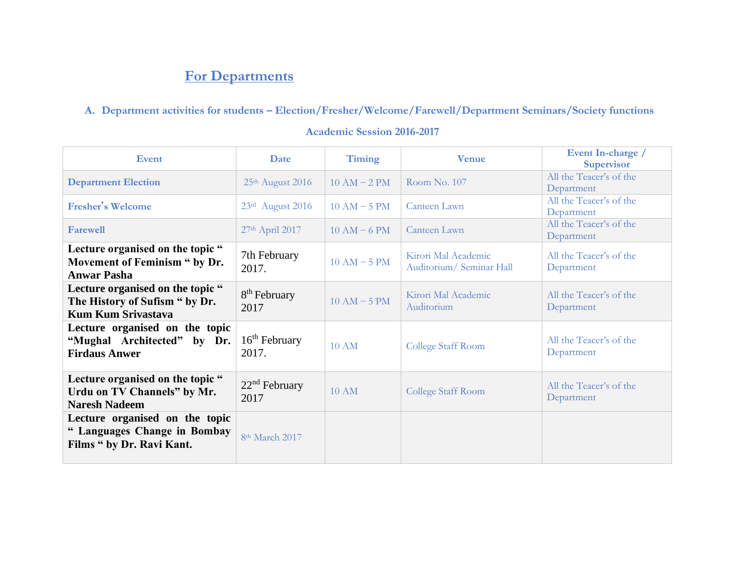# **For Departments**

## **A. Department activities for students – Election/Fresher/Welcome/Farewell/Department Seminars/Society functions**

| <b>Event</b>                                                                                                      | <b>Date</b>                      | Timing          | <b>Venue</b>                                    | Event In-charge /<br><b>Supervisor</b> |
|-------------------------------------------------------------------------------------------------------------------|----------------------------------|-----------------|-------------------------------------------------|----------------------------------------|
| <b>Department Election</b>                                                                                        | 25th August 2016                 |                 | Room No. 107                                    | All the Teacer's of the<br>Department  |
| <b>Fresher's Welcome</b>                                                                                          | 23rd August 2016                 | $10 AM - 5 PM$  | Canteen Lawn                                    | All the Teacer's of the<br>Department  |
| <b>Farewell</b>                                                                                                   | 27th April 2017                  | $10 AM - 6 PM$  | Canteen Lawn                                    | All the Teacer's of the<br>Department  |
| Lecture organised on the topic "<br>Movement of Feminism " by Dr.<br><b>Anwar Pasha</b>                           | 7th February<br>2017.            | $10$ AM $-5$ PM | Kirori Mal Academic<br>Auditorium/ Seminar Hall | All the Teacer's of the<br>Department  |
| Lecture organised on the topic "<br>The History of Sufism " by Dr.<br><b>Kum Kum Srivastava</b>                   | 8 <sup>th</sup> February<br>2017 | $10 AM - 5 PM$  | Kirori Mal Academic<br>Auditorium               | All the Teacer's of the<br>Department  |
| Lecture organised on the topic<br>$16th$ February<br>"Mughal Architected" by Dr.<br>2017.<br><b>Firdaus Anwer</b> |                                  | <b>10 AM</b>    | College Staff Room                              | All the Teacer's of the<br>Department  |
| Lecture organised on the topic "<br>Urdu on TV Channels" by Mr.<br><b>Naresh Nadeem</b>                           | $22nd$ February<br>2017          | <b>10 AM</b>    | College Staff Room                              | All the Teacer's of the<br>Department  |
| Lecture organised on the topic<br>" Languages Change in Bombay<br>Films " by Dr. Ravi Kant.                       | 8 <sup>th</sup> March 2017       |                 |                                                 |                                        |

#### **Academic Session 2016-2017**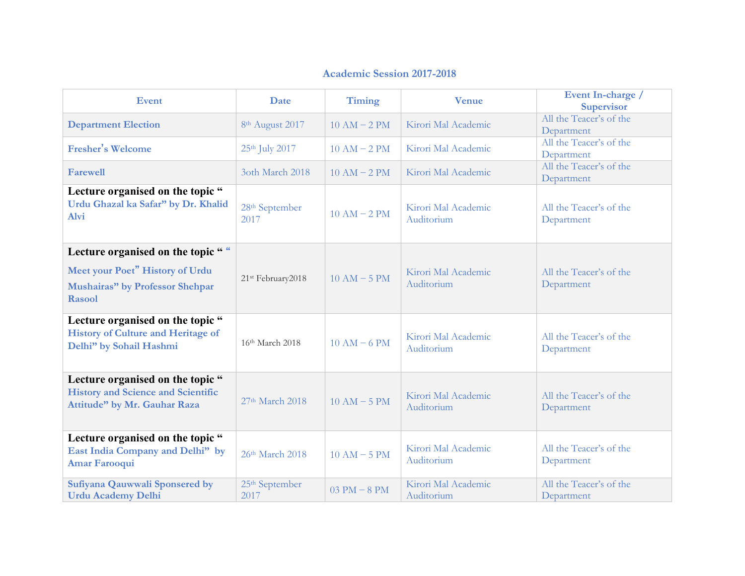## **Academic Session 2017-2018**

| <b>Event</b>                                                                                                                     | <b>Date</b>                        | Timing           | <b>Venue</b>                      | Event In-charge /<br><b>Supervisor</b> |
|----------------------------------------------------------------------------------------------------------------------------------|------------------------------------|------------------|-----------------------------------|----------------------------------------|
| <b>Department Election</b>                                                                                                       | 8 <sup>th</sup> August 2017        | $10 AM - 2 PM$   | Kirori Mal Academic               | All the Teacer's of the<br>Department  |
| <b>Fresher's Welcome</b>                                                                                                         | 25th July 2017                     | $10 AM - 2 PM$   | Kirori Mal Academic               | All the Teacer's of the<br>Department  |
| <b>Farewell</b>                                                                                                                  | 3oth March 2018                    | $10 AM - 2 PM$   | Kirori Mal Academic               | All the Teacer's of the<br>Department  |
| Lecture organised on the topic "<br>Urdu Ghazal ka Safar" by Dr. Khalid<br><b>Alvi</b>                                           | 28 <sup>th</sup> September<br>2017 | $10 AM - 2 PM$   | Kirori Mal Academic<br>Auditorium | All the Teacer's of the<br>Department  |
| Lecture organised on the topic " "<br>Meet your Poet" History of Urdu<br>Mushairas" by Professor Shehpar<br><b>Rasool</b>        | 21st February2018                  | $10 AM - 5 PM$   | Kirori Mal Academic<br>Auditorium | All the Teacer's of the<br>Department  |
| Lecture organised on the topic "<br><b>History of Culture and Heritage of</b><br>Delhi" by Sohail Hashmi                         | 16th March 2018                    | $10 AM - 6 PM$   | Kirori Mal Academic<br>Auditorium | All the Teacer's of the<br>Department  |
| Lecture organised on the topic "<br><b>History and Science and Scientific</b><br>27th March 2018<br>Attitude" by Mr. Gauhar Raza |                                    | $10 AM - 5 PM$   | Kirori Mal Academic<br>Auditorium | All the Teacer's of the<br>Department  |
| Lecture organised on the topic "<br>East India Company and Delhi" by<br><b>Amar Farooqui</b>                                     | 26th March 2018                    | $10 AM - 5 PM$   | Kirori Mal Academic<br>Auditorium | All the Teacer's of the<br>Department  |
| Sufiyana Qauwwali Sponsered by<br><b>Urdu Academy Delhi</b>                                                                      | 25 <sup>th</sup> September<br>2017 | $03$ PM $-$ 8 PM | Kirori Mal Academic<br>Auditorium | All the Teacer's of the<br>Department  |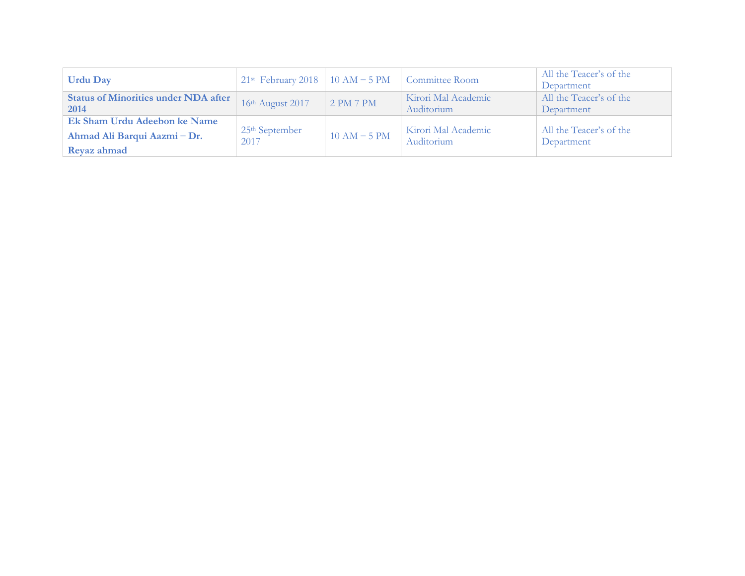| <b>Urdu Day</b>                             |                                               |                  | Committee Room                    | All the Teacer's of the               |
|---------------------------------------------|-----------------------------------------------|------------------|-----------------------------------|---------------------------------------|
|                                             | 21 <sup>st</sup> February 2018   10 AM – 5 PM |                  |                                   | Department                            |
| <b>Status of Minorities under NDA after</b> | 16th August 2017                              | $\mid$ 2 PM 7 PM | Kirori Mal Academic               | All the Teacer's of the               |
| 2014                                        |                                               |                  | Auditorium                        | Department                            |
| Ek Sham Urdu Adeebon ke Name                |                                               |                  |                                   |                                       |
| Ahmad Ali Barqui Aazmi – Dr.                | $25th$ September<br>2017                      | $10 AM - 5 PM$   | Kirori Mal Academic<br>Auditorium | All the Teacer's of the<br>Department |
| Reyaz ahmad                                 |                                               |                  |                                   |                                       |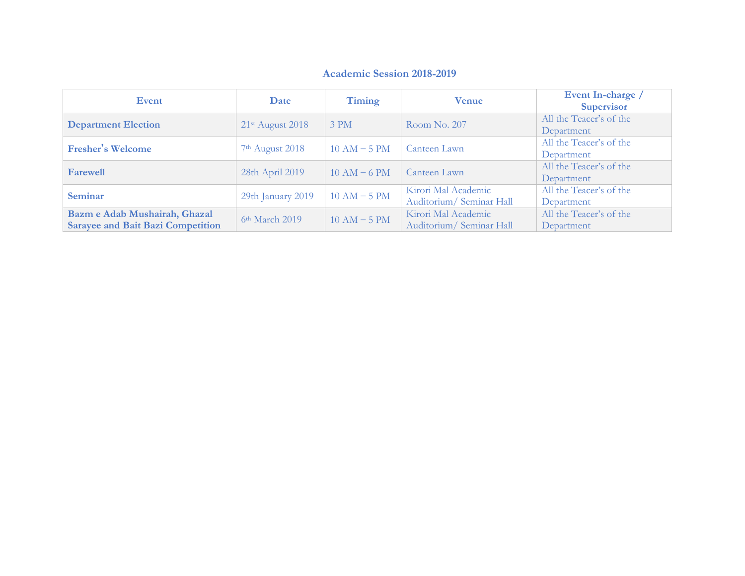## **Academic Session 2018-2019**

| <b>Event</b>                             | Date                         | Timing         | <b>Venue</b>             | Event In-charge /<br><b>Supervisor</b> |
|------------------------------------------|------------------------------|----------------|--------------------------|----------------------------------------|
| <b>Department Election</b>               | 21 <sup>st</sup> August 2018 | 3 PM           | Room No. 207             | All the Teacer's of the                |
|                                          |                              |                |                          | Department                             |
| <b>Fresher's Welcome</b>                 | 7 <sup>th</sup> August 2018  | $10 AM - 5 PM$ | Canteen Lawn             | All the Teacer's of the                |
|                                          |                              |                |                          | Department                             |
| <b>Farewell</b>                          | 28th April 2019              | $10 AM - 6 PM$ | Canteen Lawn             | All the Teacer's of the                |
|                                          |                              |                |                          | Department                             |
| <b>Seminar</b>                           | 29th January 2019            | $10 AM - 5 PM$ | Kirori Mal Academic      | All the Teacer's of the                |
|                                          |                              |                | Auditorium/ Seminar Hall | Department                             |
| Bazm e Adab Mushairah, Ghazal            |                              |                | Kirori Mal Academic      | All the Teacer's of the                |
| <b>Sarayee and Bait Bazi Competition</b> | 6 <sup>th</sup> March 2019   | $10 AM - 5 PM$ | Auditorium/Seminar Hall  | Department                             |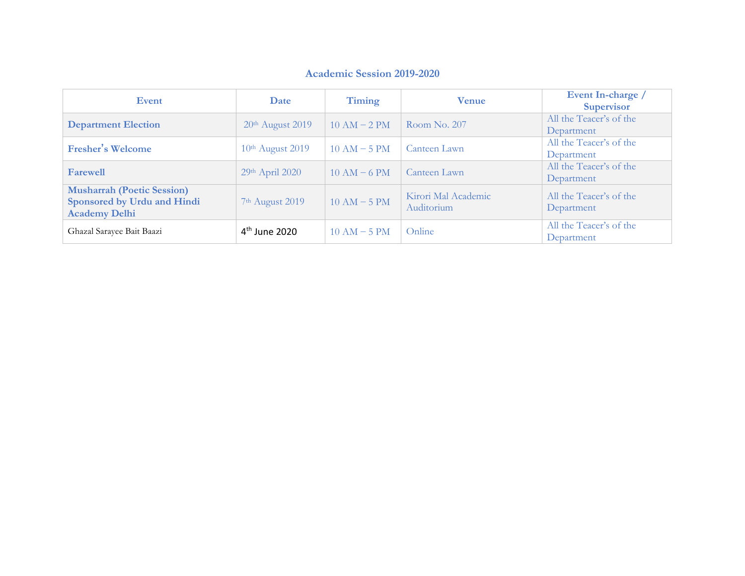### **Academic Session 2019-2020**

| <b>Event</b>                                                                             | Date                         | Timing         | <b>Venue</b>                      | Event In-charge /<br><b>Supervisor</b> |
|------------------------------------------------------------------------------------------|------------------------------|----------------|-----------------------------------|----------------------------------------|
| <b>Department Election</b>                                                               | 20 <sup>th</sup> August 2019 | $10 AM - 2 PM$ | Room No. 207                      | All the Teacer's of the<br>Department  |
| <b>Fresher's Welcome</b>                                                                 | $10th$ August 2019           | $10 AM - 5 PM$ | Canteen Lawn                      | All the Teacer's of the<br>Department  |
| <b>Farewell</b>                                                                          | 29th April 2020              | $10 AM - 6 PM$ | Canteen Lawn                      | All the Teacer's of the<br>Department  |
| <b>Musharrah (Poetic Session)</b><br>Sponsored by Urdu and Hindi<br><b>Academy Delhi</b> | 7 <sup>th</sup> August 2019  | $10 AM - 5 PM$ | Kirori Mal Academic<br>Auditorium | All the Teacer's of the<br>Department  |
| Ghazal Sarayee Bait Baazi                                                                | 4 <sup>th</sup> June 2020    | $10 AM - 5 PM$ | Online                            | All the Teacer's of the<br>Department  |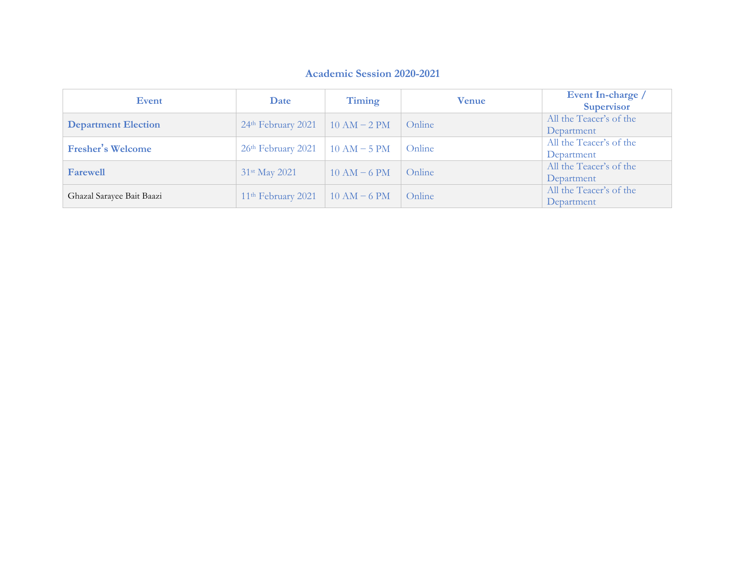#### **Academic Session 2020 -202 1**

| Event                      | Date                           | Timing         | <b>Venue</b> | Event In-charge /<br><b>Supervisor</b> |
|----------------------------|--------------------------------|----------------|--------------|----------------------------------------|
| <b>Department Election</b> | $24th$ February 2021           | $10 AM - 2 PM$ | Online       | All the Teacer's of the<br>Department  |
| <b>Fresher's Welcome</b>   | $26th$ February 2021           | $10 AM - 5 PM$ | Online       | All the Teacer's of the<br>Department  |
| <b>Farewell</b>            | 31st May 2021                  | $10 AM - 6 PM$ | Online       | All the Teacer's of the<br>Department  |
| Ghazal Sarayee Bait Baazi  | 11 <sup>th</sup> February 2021 | $10 AM - 6 PM$ | Online       | All the Teacer's of the<br>Department  |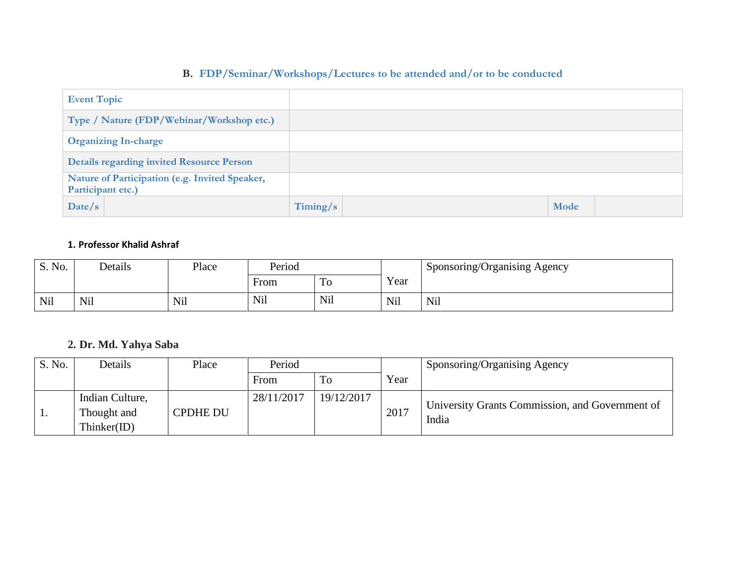## **B. FDP/Seminar/Workshops/Lectures to be attended and/or to be conducted**

| <b>Event Topic</b>                                                  |          |      |
|---------------------------------------------------------------------|----------|------|
| Type / Nature (FDP/Webinar/Workshop etc.)                           |          |      |
| <b>Organizing In-charge</b>                                         |          |      |
| <b>Details regarding invited Resource Person</b>                    |          |      |
| Nature of Participation (e.g. Invited Speaker,<br>Participant etc.) |          |      |
| Date/s                                                              | Timing/s | Mode |

#### **1. Professor Khalid Ashraf**

| S. No. | Details    | $D$ ace | Period |            |            | Sponsoring/Organising Agency |
|--------|------------|---------|--------|------------|------------|------------------------------|
|        |            |         | From   | 10         | Year       |                              |
| Nil    | <b>Nil</b> | Nil     | Nil    | <b>Nil</b> | <b>Nil</b> | <b>Nil</b>                   |

## **2. Dr. Md. Yahya Saba**

| S. No. | Details                                       | Place           | Period     |            |      | Sponsoring/Organising Agency                             |
|--------|-----------------------------------------------|-----------------|------------|------------|------|----------------------------------------------------------|
|        |                                               |                 | From       | ΠO         | Year |                                                          |
| 1.     | Indian Culture,<br>Thought and<br>Thinker(ID) | <b>CPDHE DU</b> | 28/11/2017 | 19/12/2017 | 2017 | University Grants Commission, and Government of<br>India |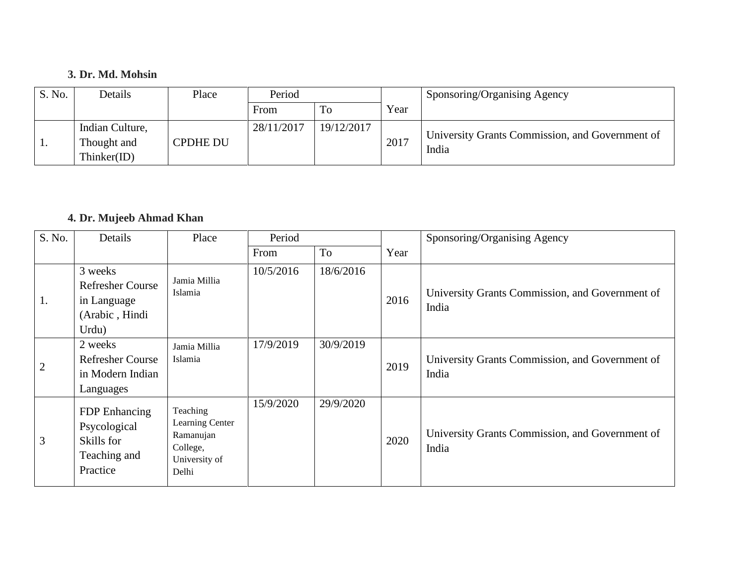## **3. Dr. Md. Mohsin**

| S. No. | Details                                       | Place           | Period     |            |      | Sponsoring/Organising Agency                             |
|--------|-----------------------------------------------|-----------------|------------|------------|------|----------------------------------------------------------|
|        |                                               |                 | From       | To         | Year |                                                          |
| . .    | Indian Culture,<br>Thought and<br>Thinker(ID) | <b>CPDHE DU</b> | 28/11/2017 | 19/12/2017 | 2017 | University Grants Commission, and Government of<br>India |

## **4. Dr. Mujeeb Ahmad Khan**

| S. No.         | Details                                                                      | Place                                                                          | Period    |           |      | Sponsoring/Organising Agency                             |
|----------------|------------------------------------------------------------------------------|--------------------------------------------------------------------------------|-----------|-----------|------|----------------------------------------------------------|
|                |                                                                              |                                                                                | From      | To        | Year |                                                          |
| 1.             | 3 weeks<br><b>Refresher Course</b><br>in Language<br>(Arabic, Hindi<br>Urdu) | Jamia Millia<br>Islamia                                                        | 10/5/2016 | 18/6/2016 | 2016 | University Grants Commission, and Government of<br>India |
| $\overline{2}$ | 2 weeks<br><b>Refresher Course</b><br>in Modern Indian<br>Languages          | Jamia Millia<br>Islamia                                                        | 17/9/2019 | 30/9/2019 | 2019 | University Grants Commission, and Government of<br>India |
| 3              | FDP Enhancing<br>Psycological<br>Skills for<br>Teaching and<br>Practice      | Teaching<br>Learning Center<br>Ramanujan<br>College,<br>University of<br>Delhi | 15/9/2020 | 29/9/2020 | 2020 | University Grants Commission, and Government of<br>India |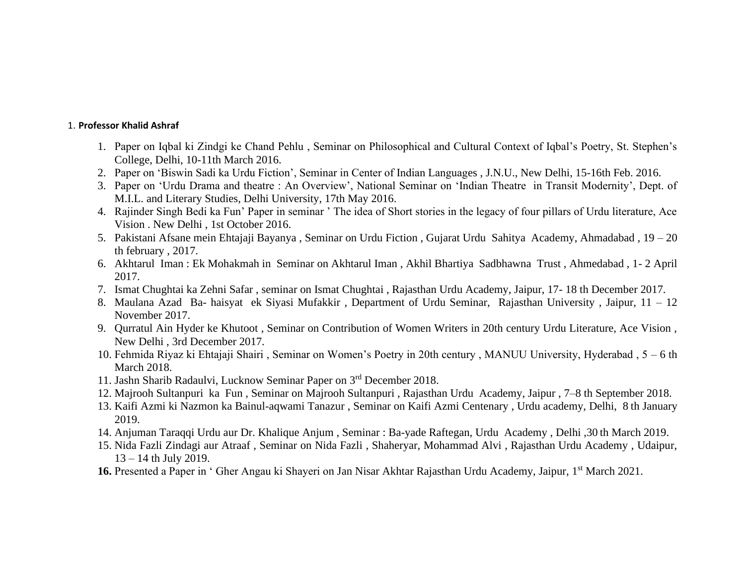#### 1. **Professor Khalid Ashraf**

- 1. Paper on Iqbal ki Zindgi ke Chand Pehlu , Seminar on Philosophical and Cultural Context of Iqbal's Poetry, St. Stephen's College, Delhi, 10-11th March 2016.
- 2. Paper on 'Biswin Sadi ka Urdu Fiction', Seminar in Center of Indian Languages , J.N.U., New Delhi, 15-16th Feb. 2016.
- 3. Paper on 'Urdu Drama and theatre : An Overview', National Seminar on 'Indian Theatre in Transit Modernity', Dept. of M.I.L. and Literary Studies, Delhi University, 17th May 2016.
- 4. Rajinder Singh Bedi ka Fun' Paper in seminar ' The idea of Short stories in the legacy of four pillars of Urdu literature, Ace Vision . New Delhi , 1st October 2016.
- 5. Pakistani Afsane mein Ehtajaji Bayanya , Seminar on Urdu Fiction , Gujarat Urdu Sahitya Academy, Ahmadabad , 19 20 th february , 2017.
- 6. Akhtarul Iman : Ek Mohakmah in Seminar on Akhtarul Iman , Akhil Bhartiya Sadbhawna Trust , Ahmedabad , 1- 2 April 2017.
- 7. Ismat Chughtai ka Zehni Safar , seminar on Ismat Chughtai , Rajasthan Urdu Academy, Jaipur, 17- 18 th December 2017.
- 8. Maulana Azad Ba- haisyat ek Siyasi Mufakkir , Department of Urdu Seminar, Rajasthan University , Jaipur, 11 12 November 2017.
- 9. Qurratul Ain Hyder ke Khutoot , Seminar on Contribution of Women Writers in 20th century Urdu Literature, Ace Vision , New Delhi , 3rd December 2017.
- 10. Fehmida Riyaz ki Ehtajaji Shairi , Seminar on Women's Poetry in 20th century , MANUU University, Hyderabad , 5 6 th March 2018.
- 11. Jashn Sharib Radaulvi, Lucknow Seminar Paper on 3rd December 2018.
- 12. Majrooh Sultanpuri ka Fun , Seminar on Majrooh Sultanpuri , Rajasthan Urdu Academy, Jaipur , 7–8 th September 2018.
- 13. Kaifi Azmi ki Nazmon ka Bainul-aqwami Tanazur , Seminar on Kaifi Azmi Centenary , Urdu academy, Delhi, 8 th January 2019.
- 14. Anjuman Taraqqi Urdu aur Dr. Khalique Anjum , Seminar : Ba-yade Raftegan, Urdu Academy , Delhi ,30 th March 2019.
- 15. Nida Fazli Zindagi aur Atraaf , Seminar on Nida Fazli , Shaheryar, Mohammad Alvi , Rajasthan Urdu Academy , Udaipur, 13 – 14 th July 2019.
- 16. Presented a Paper in ' Gher Angau ki Shayeri on Jan Nisar Akhtar Rajasthan Urdu Academy, Jaipur, 1<sup>st</sup> March 2021.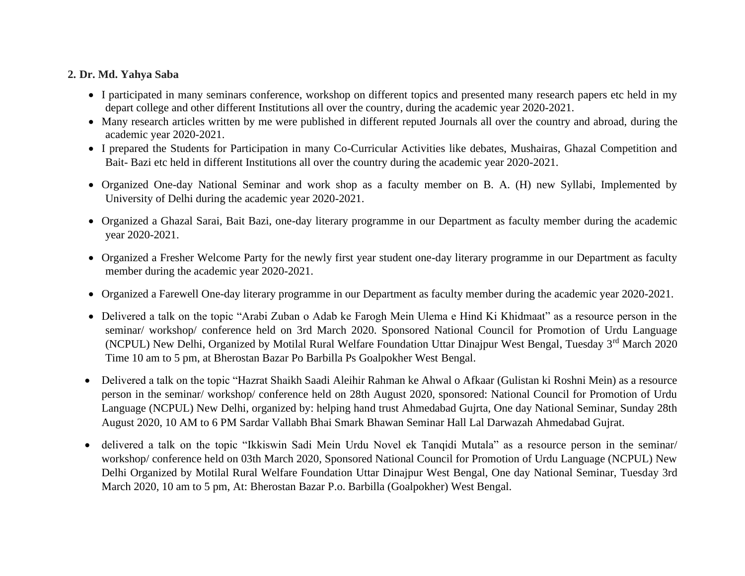### **2. Dr. Md. Yahya Saba**

- I participated in many seminars conference, workshop on different topics and presented many research papers etc held in my depart college and other different Institutions all over the country, during the academic year 2020-2021.
- Many research articles written by me were published in different reputed Journals all over the country and abroad, during the academic year 2020-2021.
- I prepared the Students for Participation in many Co-Curricular Activities like debates, Mushairas, Ghazal Competition and Bait- Bazi etc held in different Institutions all over the country during the academic year 2020-2021.
- Organized One-day National Seminar and work shop as a faculty member on B. A. (H) new Syllabi, Implemented by University of Delhi during the academic year 2020-2021.
- Organized a Ghazal Sarai, Bait Bazi, one-day literary programme in our Department as faculty member during the academic year 2020-2021.
- Organized a Fresher Welcome Party for the newly first year student one-day literary programme in our Department as faculty member during the academic year 2020-2021.
- Organized a Farewell One-day literary programme in our Department as faculty member during the academic year 2020-2021.
- Delivered a talk on the topic "Arabi Zuban o Adab ke Farogh Mein Ulema e Hind Ki Khidmaat" as a resource person in the seminar/ workshop/ conference held on 3rd March 2020. Sponsored National Council for Promotion of Urdu Language (NCPUL) New Delhi, Organized by Motilal Rural Welfare Foundation Uttar Dinajpur West Bengal, Tuesday 3<sup>rd</sup> March 2020 Time 10 am to 5 pm, at Bherostan Bazar Po Barbilla Ps Goalpokher West Bengal.
- Delivered a talk on the topic "Hazrat Shaikh Saadi Aleihir Rahman ke Ahwal o Afkaar (Gulistan ki Roshni Mein) as a resource person in the seminar/ workshop/ conference held on 28th August 2020, sponsored: National Council for Promotion of Urdu Language (NCPUL) New Delhi, organized by: helping hand trust Ahmedabad Gujrta, One day National Seminar, Sunday 28th August 2020, 10 AM to 6 PM Sardar Vallabh Bhai Smark Bhawan Seminar Hall Lal Darwazah Ahmedabad Gujrat.
- delivered a talk on the topic "Ikkiswin Sadi Mein Urdu Novel ek Tanqidi Mutala" as a resource person in the seminar/ workshop/ conference held on 03th March 2020, Sponsored National Council for Promotion of Urdu Language (NCPUL) New Delhi Organized by Motilal Rural Welfare Foundation Uttar Dinajpur West Bengal, One day National Seminar, Tuesday 3rd March 2020, 10 am to 5 pm, At: Bherostan Bazar P.o. Barbilla (Goalpokher) West Bengal.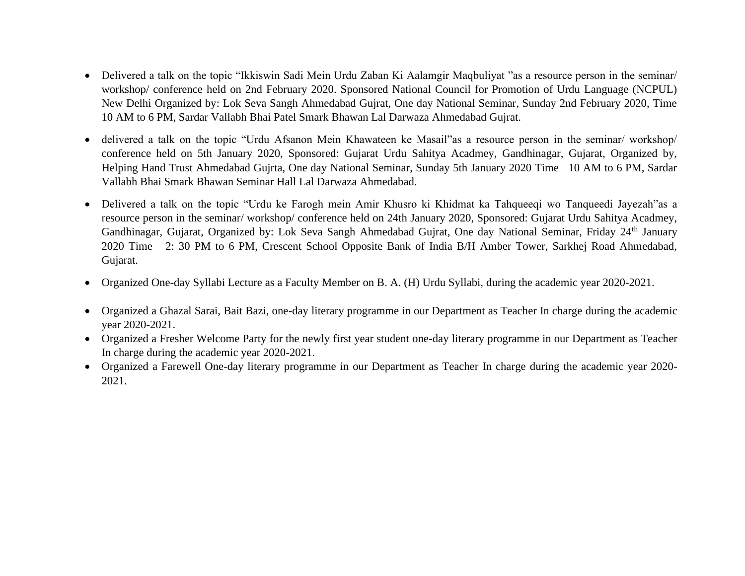- Delivered a talk on the topic "Ikkiswin Sadi Mein Urdu Zaban Ki Aalamgir Maqbuliyat "as a resource person in the seminar/ workshop/ conference held on 2nd February 2020. Sponsored National Council for Promotion of Urdu Language (NCPUL) New Delhi Organized by: Lok Seva Sangh Ahmedabad Gujrat, One day National Seminar, Sunday 2nd February 2020, Time 10 AM to 6 PM, Sardar Vallabh Bhai Patel Smark Bhawan Lal Darwaza Ahmedabad Gujrat.
- delivered a talk on the topic "Urdu Afsanon Mein Khawateen ke Masail"as a resource person in the seminar/ workshop/ conference held on 5th January 2020, Sponsored: Gujarat Urdu Sahitya Acadmey, Gandhinagar, Gujarat, Organized by, Helping Hand Trust Ahmedabad Gujrta, One day National Seminar, Sunday 5th January 2020 Time 10 AM to 6 PM, Sardar Vallabh Bhai Smark Bhawan Seminar Hall Lal Darwaza Ahmedabad.
- Delivered a talk on the topic "Urdu ke Farogh mein Amir Khusro ki Khidmat ka Tahqueeqi wo Tanqueedi Jayezah"as a resource person in the seminar/ workshop/ conference held on 24th January 2020, Sponsored: Gujarat Urdu Sahitya Acadmey, Gandhinagar, Gujarat, Organized by: Lok Seva Sangh Ahmedabad Gujrat, One day National Seminar, Friday 24<sup>th</sup> January 2020 Time 2: 30 PM to 6 PM, Crescent School Opposite Bank of India B/H Amber Tower, Sarkhej Road Ahmedabad, Gujarat.
- Organized One-day Syllabi Lecture as a Faculty Member on B. A. (H) Urdu Syllabi, during the academic year 2020-2021.
- Organized a Ghazal Sarai, Bait Bazi, one-day literary programme in our Department as Teacher In charge during the academic year 2020-2021.
- Organized a Fresher Welcome Party for the newly first year student one-day literary programme in our Department as Teacher In charge during the academic year 2020-2021.
- Organized a Farewell One-day literary programme in our Department as Teacher In charge during the academic year 2020- 2021.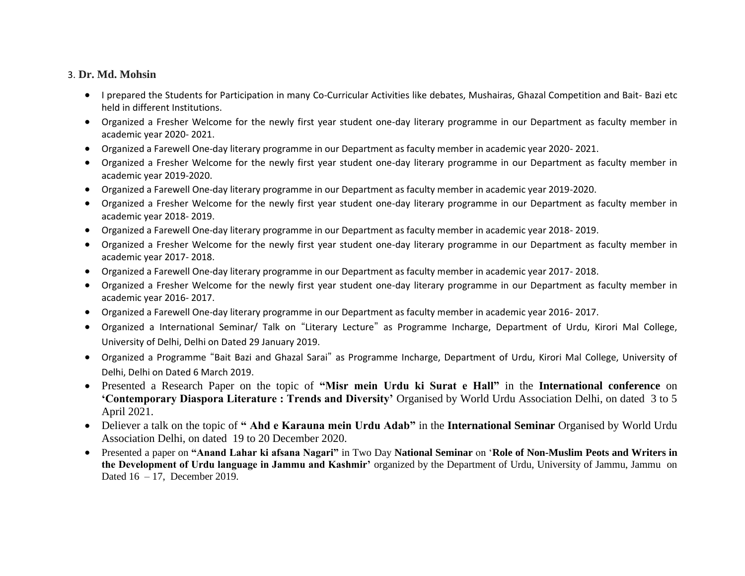#### 3. **Dr. Md. Mohsin**

- I prepared the Students for Participation in many Co-Curricular Activities like debates, Mushairas, Ghazal Competition and Bait- Bazi etc held in different Institutions.
- Organized a Fresher Welcome for the newly first year student one-day literary programme in our Department as faculty member in academic year 2020- 2021.
- Organized a Farewell One-day literary programme in our Department as faculty member in academic year 2020- 2021.
- Organized a Fresher Welcome for the newly first year student one-day literary programme in our Department as faculty member in academic year 2019-2020.
- Organized a Farewell One-day literary programme in our Department as faculty member in academic year 2019-2020.
- Organized a Fresher Welcome for the newly first year student one-day literary programme in our Department as faculty member in academic year 2018- 2019.
- Organized a Farewell One-day literary programme in our Department as faculty member in academic year 2018- 2019.
- Organized a Fresher Welcome for the newly first year student one-day literary programme in our Department as faculty member in academic year 2017- 2018.
- Organized a Farewell One-day literary programme in our Department as faculty member in academic year 2017- 2018.
- Organized a Fresher Welcome for the newly first year student one-day literary programme in our Department as faculty member in academic year 2016- 2017.
- Organized a Farewell One-day literary programme in our Department as faculty member in academic year 2016- 2017.
- Organized a International Seminar/ Talk on "Literary Lecture" as Programme Incharge, Department of Urdu, Kirori Mal College, University of Delhi, Delhi on Dated 29 January 2019.
- Organized a Programme "Bait Bazi and Ghazal Sarai" as Programme Incharge, Department of Urdu, Kirori Mal College, University of Delhi, Delhi on Dated 6 March 2019.
- Presented a Research Paper on the topic of **"Misr mein Urdu ki Surat e Hall"** in the **International conference** on **'Contemporary Diaspora Literature : Trends and Diversity'** Organised by World Urdu Association Delhi, on dated 3 to 5 April 2021.
- Deliever a talk on the topic of **" Ahd e Karauna mein Urdu Adab"** in the **International Seminar** Organised by World Urdu Association Delhi, on dated 19 to 20 December 2020.
- Presented a paper on **"Anand Lahar ki afsana Nagari"** in Two Day **National Seminar** on '**Role of Non-Muslim Peots and Writers in the Development of Urdu language in Jammu and Kashmir'** organized by the Department of Urdu, University of Jammu, Jammu on Dated 16 – 17, December 2019.